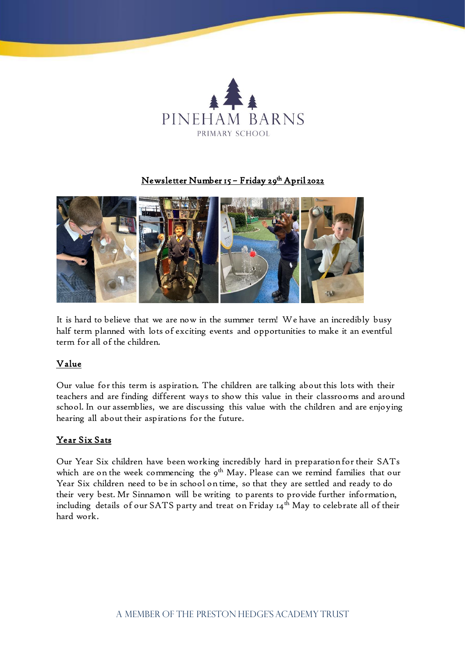

## <u> Newsletter Number 15 – Friday 29<sup>th</sup> April 2022</u>



It is hard to believe that we are now in the summer term! We have an incredibly busy half term planned with lots of exciting events and opportunities to make it an eventful term for all of the children.

## Value

Our value for this term is aspiration. The children are talking about this lots with their teachers and are finding different ways to show this value in their classrooms and around school. In our assemblies, we are discussing this value with the children and are enjoying hearing all about their aspirations for the future.

# Year Six Sats

Our Year Six children have been working incredibly hard in preparation for their SATs which are on the week commencing the 9<sup>th</sup> May. Please can we remind families that our Year Six children need to be in school on time, so that they are settled and ready to do their very best. Mr Sinnamon will be writing to parents to provide further information, including details of our SATS party and treat on Friday  $14<sup>th</sup>$  May to celebrate all of their hard work.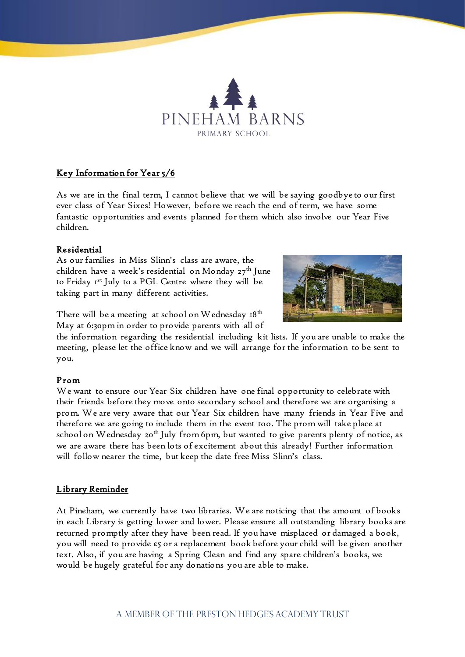

# Key Information for Year 5/6

As we are in the final term, I cannot believe that we will be saying goodbye to our first ever class of Year Sixes! However, before we reach the end of term, we have some fantastic opportunities and events planned for them which also involve our Year Five children.

#### Residential

As our families in Miss Slinn's class are aware, the children have a week's residential on Monday 27<sup>th</sup> June to Friday 1st July to a PGL Centre where they will be taking part in many different activities.



There will be a meeting at school on Wednesday  $18<sup>th</sup>$ May at 6:30pm in order to provide parents with all of

the information regarding the residential including kit lists. If you are unable to make the meeting, please let the office know and we will arrange for the information to be sent to you.

#### Prom

We want to ensure our Year Six children have one final opportunity to celebrate with their friends before they move onto secondary school and therefore we are organising a prom. We are very aware that our Year Six children have many friends in Year Five and therefore we are going to include them in the event too. The prom will take place at school on Wednesday 20<sup>th</sup> July from 6pm, but wanted to give parents plenty of notice, as we are aware there has been lots of excitement about this already! Further information will follow nearer the time, but keep the date free Miss Slinn's class.

## Library Reminder

At Pineham, we currently have two libraries. We are noticing that the amount of books in each Library is getting lower and lower. Please ensure all outstanding library books are returned promptly after they have been read. If you have misplaced or damaged a book, you will need to provide £5 or a replacement book before your child will be given another text. Also, if you are having a Spring Clean and find any spare children's books, we would be hugely grateful for any donations you are able to make.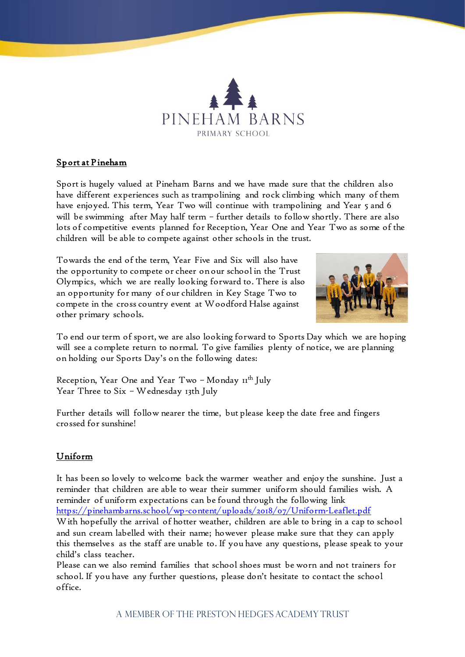

# Sport at Pineham

Sport is hugely valued at Pineham Barns and we have made sure that the children also have different experiences such as trampolining and rock climbing which many of them have enjoyed. This term, Year Two will continue with trampolining and Year 5 and 6 will be swimming after May half term – further details to follow shortly. There are also lots of competitive events planned for Reception, Year One and Year Two as some of the children will be able to compete against other schools in the trust.

Towards the end of the term, Year Five and Six will also have the opportunity to compete or cheer on our school in the Trust Olympics, which we are really looking forward to. There is also an opportunity for many of our children in Key Stage Two to compete in the cross country event at Woodford Halse against other primary schools.



To end our term of sport, we are also looking forward to Sports Day which we are hoping will see a complete return to normal. To give families plenty of notice, we are planning on holding our Sports Day's on the following dates:

Reception, Year One and Year Two - Monday 11<sup>th</sup> July Year Three to Six – Wednesday 13th July

Further details will follow nearer the time, but please keep the date free and fingers crossed for sunshine!

# Uniform

It has been so lovely to welcome back the warmer weather and enjoy the sunshine. Just a reminder that children are able to wear their summer uniform should families wish. A reminder of uniform expectations can be found through the following link <https://pinehambarns.school/wp-content/uploads/2018/07/Uniform-Leaflet.pdf> With hopefully the arrival of hotter weather, children are able to bring in a cap to school and sun cream labelled with their name; however please make sure that they can apply this themselves as the staff are unable to. If you have any questions, please speak to your child's class teacher.

Please can we also remind families that school shoes must be worn and not trainers for school. If you have any further questions, please don't hesitate to contact the school office.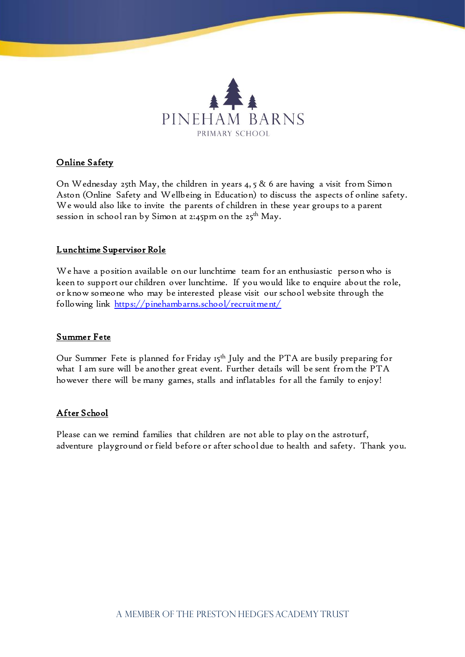

## Online Safety

On Wednesday 25th May, the children in years 4, 5 & 6 are having a visit from Simon Aston (Online Safety and Wellbeing in Education) to discuss the aspects of online safety. We would also like to invite the parents of children in these year groups to a parent session in school ran by Simon at 2:45pm on the  $25<sup>th</sup>$  May.

#### Lunchtime Supervisor Role

We have a position available on our lunchtime team for an enthusiastic person who is keen to support our children over lunchtime. If you would like to enquire about the role, or know someone who may be interested please visit our school website through the following link<https://pinehambarns.school/recruitment/>

#### Summer Fete

Our Summer Fete is planned for Friday 15<sup>th</sup> July and the PTA are busily preparing for what I am sure will be another great event. Further details will be sent from the PTA however there will be many games, stalls and inflatables for all the family to enjoy!

## After School

Please can we remind families that children are not able to play on the astroturf, adventure playground or field before or after school due to health and safety. Thank you.